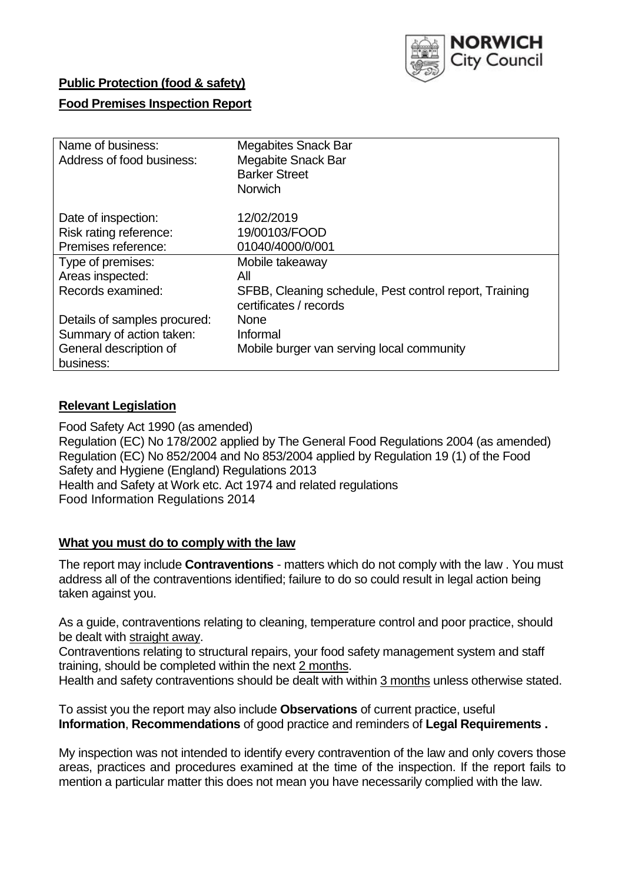

# **Public Protection (food & safety)**

# **Food Premises Inspection Report**

| Name of business:            | <b>Megabites Snack Bar</b>                             |
|------------------------------|--------------------------------------------------------|
| Address of food business:    | <b>Megabite Snack Bar</b>                              |
|                              | <b>Barker Street</b>                                   |
|                              | <b>Norwich</b>                                         |
|                              |                                                        |
| Date of inspection:          | 12/02/2019                                             |
| Risk rating reference:       | 19/00103/FOOD                                          |
| Premises reference:          | 01040/4000/0/001                                       |
| Type of premises:            | Mobile takeaway                                        |
| Areas inspected:             | All                                                    |
| Records examined:            | SFBB, Cleaning schedule, Pest control report, Training |
|                              | certificates / records                                 |
| Details of samples procured: | <b>None</b>                                            |
| Summary of action taken:     | Informal                                               |
| General description of       | Mobile burger van serving local community              |
| business:                    |                                                        |

### **Relevant Legislation**

Food Safety Act 1990 (as amended) Regulation (EC) No 178/2002 applied by The General Food Regulations 2004 (as amended) Regulation (EC) No 852/2004 and No 853/2004 applied by Regulation 19 (1) of the Food Safety and Hygiene (England) Regulations 2013 Health and Safety at Work etc. Act 1974 and related regulations Food Information Regulations 2014

### **What you must do to comply with the law**

The report may include **Contraventions** - matters which do not comply with the law . You must address all of the contraventions identified; failure to do so could result in legal action being taken against you.

As a guide, contraventions relating to cleaning, temperature control and poor practice, should be dealt with straight away.

Contraventions relating to structural repairs, your food safety management system and staff training, should be completed within the next 2 months.

Health and safety contraventions should be dealt with within 3 months unless otherwise stated.

To assist you the report may also include **Observations** of current practice, useful **Information**, **Recommendations** of good practice and reminders of **Legal Requirements .**

My inspection was not intended to identify every contravention of the law and only covers those areas, practices and procedures examined at the time of the inspection. If the report fails to mention a particular matter this does not mean you have necessarily complied with the law.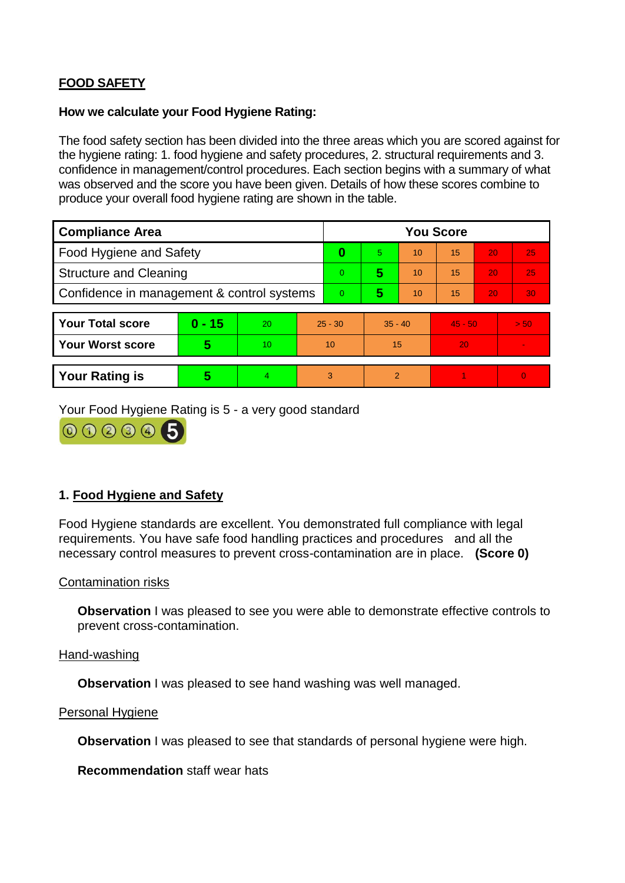# **FOOD SAFETY**

# **How we calculate your Food Hygiene Rating:**

The food safety section has been divided into the three areas which you are scored against for the hygiene rating: 1. food hygiene and safety procedures, 2. structural requirements and 3. confidence in management/control procedures. Each section begins with a summary of what was observed and the score you have been given. Details of how these scores combine to produce your overall food hygiene rating are shown in the table.

| <b>Compliance Area</b>                     |          |    |                | <b>You Score</b> |           |    |           |    |                |  |  |
|--------------------------------------------|----------|----|----------------|------------------|-----------|----|-----------|----|----------------|--|--|
| Food Hygiene and Safety                    |          |    |                | 0                | 5.        | 10 | 15        | 20 | 25             |  |  |
| <b>Structure and Cleaning</b>              |          |    | $\overline{0}$ | 5                | 10        | 15 | 20        | 25 |                |  |  |
| Confidence in management & control systems |          |    | $\overline{0}$ | 5                | 10        | 15 | 20        | 30 |                |  |  |
|                                            |          |    |                |                  |           |    |           |    |                |  |  |
| <b>Your Total score</b>                    | $0 - 15$ | 20 | $25 - 30$      |                  | $35 - 40$ |    | $45 - 50$ |    | > 50           |  |  |
| Your Worst score                           | 5        | 10 | 10             |                  | 15        |    | 20        |    |                |  |  |
|                                            |          |    |                |                  |           |    |           |    |                |  |  |
| <b>Your Rating is</b>                      | 5        | 4. | 3              |                  | 2         |    |           |    | $\overline{0}$ |  |  |

Your Food Hygiene Rating is 5 - a very good standard



# **1. Food Hygiene and Safety**

Food Hygiene standards are excellent. You demonstrated full compliance with legal requirements. You have safe food handling practices and procedures and all the necessary control measures to prevent cross-contamination are in place. **(Score 0)**

### Contamination risks

**Observation** I was pleased to see you were able to demonstrate effective controls to prevent cross-contamination.

### Hand-washing

**Observation** I was pleased to see hand washing was well managed.

### Personal Hygiene

**Observation** I was pleased to see that standards of personal hygiene were high.

**Recommendation** staff wear hats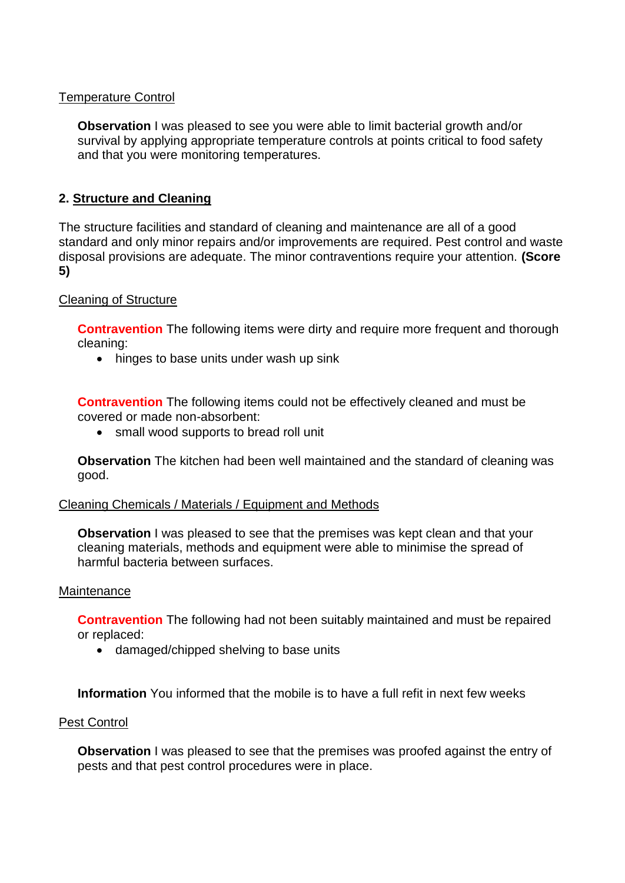# Temperature Control

**Observation** I was pleased to see you were able to limit bacterial growth and/or survival by applying appropriate temperature controls at points critical to food safety and that you were monitoring temperatures.

# **2. Structure and Cleaning**

The structure facilities and standard of cleaning and maintenance are all of a good standard and only minor repairs and/or improvements are required. Pest control and waste disposal provisions are adequate. The minor contraventions require your attention. **(Score 5)**

## Cleaning of Structure

**Contravention** The following items were dirty and require more frequent and thorough cleaning:

• hinges to base units under wash up sink

**Contravention** The following items could not be effectively cleaned and must be covered or made non-absorbent:

• small wood supports to bread roll unit

**Observation** The kitchen had been well maintained and the standard of cleaning was good.

### Cleaning Chemicals / Materials / Equipment and Methods

**Observation** I was pleased to see that the premises was kept clean and that your cleaning materials, methods and equipment were able to minimise the spread of harmful bacteria between surfaces.

#### **Maintenance**

**Contravention** The following had not been suitably maintained and must be repaired or replaced:

damaged/chipped shelving to base units

**Information** You informed that the mobile is to have a full refit in next few weeks

### Pest Control

**Observation** I was pleased to see that the premises was proofed against the entry of pests and that pest control procedures were in place.